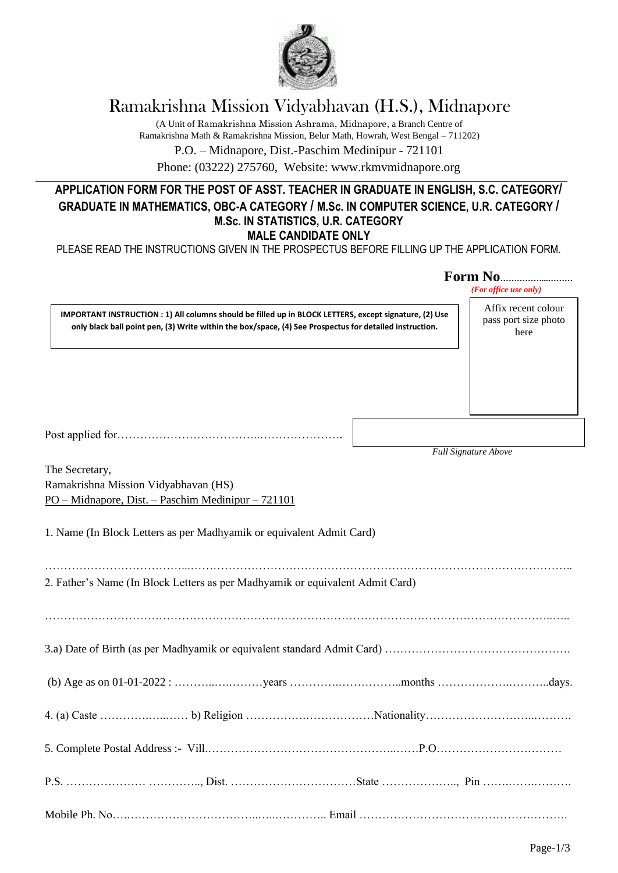

# Ramakrishna Mission Vidyabhavan (H.S.), Midnapore

(A Unit of Ramakrishna Mission Ashrama, Midnapore, a Branch Centre of Ramakrishna Math & Ramakrishna Mission, Belur Math, Howrah, West Bengal – 711202)

P.O. – Midnapore, Dist.-Paschim Medinipur - 721101

Phone: (03222) 275760, Website: www.rkmvmidnapore.org

## **APPLICATION FORM FOR THE POST OF ASST. TEACHER IN GRADUATE IN ENGLISH, S.C. CATEGORY/ GRADUATE IN MATHEMATICS, OBC-A CATEGORY / M.Sc. IN COMPUTER SCIENCE, U.R. CATEGORY / M.Sc. IN STATISTICS, U.R. CATEGORY MALE CANDIDATE ONLY**

PLEASE READ THE INSTRUCTIONS GIVEN IN THE PROSPECTUS BEFORE FILLING UP THE APPLICATION FORM.

|                                                                                                                                                                                                                   | <b>Form No</b><br>(For office use only)             |
|-------------------------------------------------------------------------------------------------------------------------------------------------------------------------------------------------------------------|-----------------------------------------------------|
| IMPORTANT INSTRUCTION : 1) All columns should be filled up in BLOCK LETTERS, except signature, (2) Use<br>only black ball point pen, (3) Write within the box/space, (4) See Prospectus for detailed instruction. | Affix recent colour<br>pass port size photo<br>here |
|                                                                                                                                                                                                                   |                                                     |
|                                                                                                                                                                                                                   |                                                     |
| The Secretary,<br>Ramakrishna Mission Vidyabhavan (HS)<br>PO – Midnapore, Dist. – Paschim Medinipur – 721101                                                                                                      | <b>Full Signature Above</b>                         |
| 1. Name (In Block Letters as per Madhyamik or equivalent Admit Card)                                                                                                                                              |                                                     |
| 2. Father's Name (In Block Letters as per Madhyamik or equivalent Admit Card)                                                                                                                                     |                                                     |
|                                                                                                                                                                                                                   |                                                     |
|                                                                                                                                                                                                                   |                                                     |
|                                                                                                                                                                                                                   |                                                     |
|                                                                                                                                                                                                                   |                                                     |
|                                                                                                                                                                                                                   |                                                     |
|                                                                                                                                                                                                                   |                                                     |
|                                                                                                                                                                                                                   |                                                     |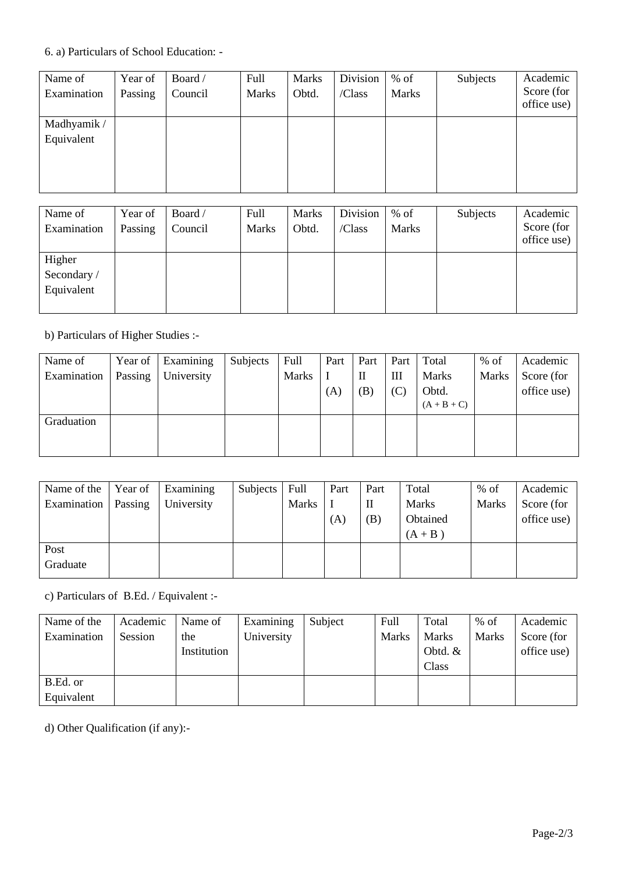### 6. a) Particulars of School Education: -

| Name of     | Year of | Board / | Full         | <b>Marks</b> | Division | $%$ of       | Subjects | Academic                  |
|-------------|---------|---------|--------------|--------------|----------|--------------|----------|---------------------------|
| Examination | Passing | Council | <b>Marks</b> | Obtd.        | /Class   | <b>Marks</b> |          | Score (for<br>office use) |
|             |         |         |              |              |          |              |          |                           |
| Madhyamik / |         |         |              |              |          |              |          |                           |
| Equivalent  |         |         |              |              |          |              |          |                           |
|             |         |         |              |              |          |              |          |                           |
|             |         |         |              |              |          |              |          |                           |
|             |         |         |              |              |          |              |          |                           |
|             |         |         |              |              |          |              |          |                           |
|             |         |         |              |              |          |              |          |                           |

| Name of     | Year of | Board / | Full         | <b>Marks</b> | Division | $%$ of       | Subjects | Academic                  |
|-------------|---------|---------|--------------|--------------|----------|--------------|----------|---------------------------|
| Examination | Passing | Council | <b>Marks</b> | Obtd.        | /Class   | <b>Marks</b> |          | Score (for<br>office use) |
| Higher      |         |         |              |              |          |              |          |                           |
| Secondary / |         |         |              |              |          |              |          |                           |
| Equivalent  |         |         |              |              |          |              |          |                           |
|             |         |         |              |              |          |              |          |                           |

b) Particulars of Higher Studies :-

| Name of     | Year of | Examining  | Subjects | Full         | Part | Part | Part | Total         | $%$ of       | Academic    |
|-------------|---------|------------|----------|--------------|------|------|------|---------------|--------------|-------------|
| Examination | Passing | University |          | <b>Marks</b> |      | П    | Ш    | <b>Marks</b>  | <b>Marks</b> | Score (for  |
|             |         |            |          |              | (A)  | (B)  | (C)  | Obtd.         |              | office use) |
|             |         |            |          |              |      |      |      | $(A + B + C)$ |              |             |
| Graduation  |         |            |          |              |      |      |      |               |              |             |
|             |         |            |          |              |      |      |      |               |              |             |
|             |         |            |          |              |      |      |      |               |              |             |

| Name of the | Year of | Examining  | Subjects | Full         | Part | Part | Total     | $%$ of       | Academic    |
|-------------|---------|------------|----------|--------------|------|------|-----------|--------------|-------------|
| Examination | Passing | University |          | <b>Marks</b> |      | П    | Marks     | <b>Marks</b> | Score (for  |
|             |         |            |          |              | (A)  | (B)  | Obtained  |              | office use) |
|             |         |            |          |              |      |      | $(A + B)$ |              |             |
| Post        |         |            |          |              |      |      |           |              |             |
| Graduate    |         |            |          |              |      |      |           |              |             |

c) Particulars of B.Ed. / Equivalent :-

| Name of the | Academic | Name of     | Examining  | Subject | Full         | Total        | $%$ of       | Academic    |
|-------------|----------|-------------|------------|---------|--------------|--------------|--------------|-------------|
| Examination | Session  | the         | University |         | <b>Marks</b> | <b>Marks</b> | <b>Marks</b> | Score (for  |
|             |          | Institution |            |         |              | Obtd. $&$    |              | office use) |
|             |          |             |            |         |              | Class        |              |             |
| B.Ed. or    |          |             |            |         |              |              |              |             |
| Equivalent  |          |             |            |         |              |              |              |             |

d) Other Qualification (if any):-